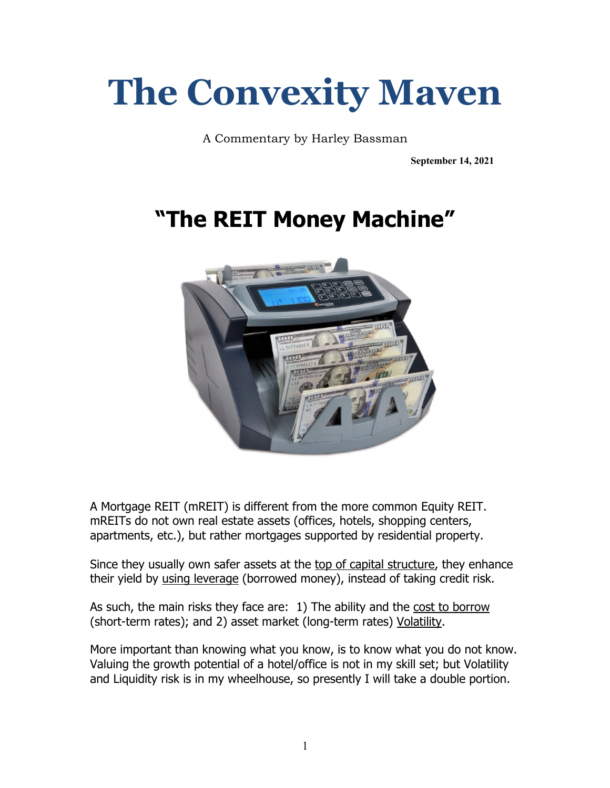# **The Convexity Maven**

A Commentary by Harley Bassman

**September 14, 2021**

# **"The REIT Money Machine"**



A Mortgage REIT (mREIT) is different from the more common Equity REIT. mREITs do not own real estate assets (offices, hotels, shopping centers, apartments, etc.), but rather mortgages supported by residential property.

Since they usually own safer assets at the top of capital structure, they enhance their yield by using leverage (borrowed money), instead of taking credit risk.

As such, the main risks they face are: 1) The ability and the cost to borrow (short-term rates); and 2) asset market (long-term rates) Volatility.

More important than knowing what you know, is to know what you do not know. Valuing the growth potential of a hotel/office is not in my skill set; but Volatility and Liquidity risk is in my wheelhouse, so presently I will take a double portion.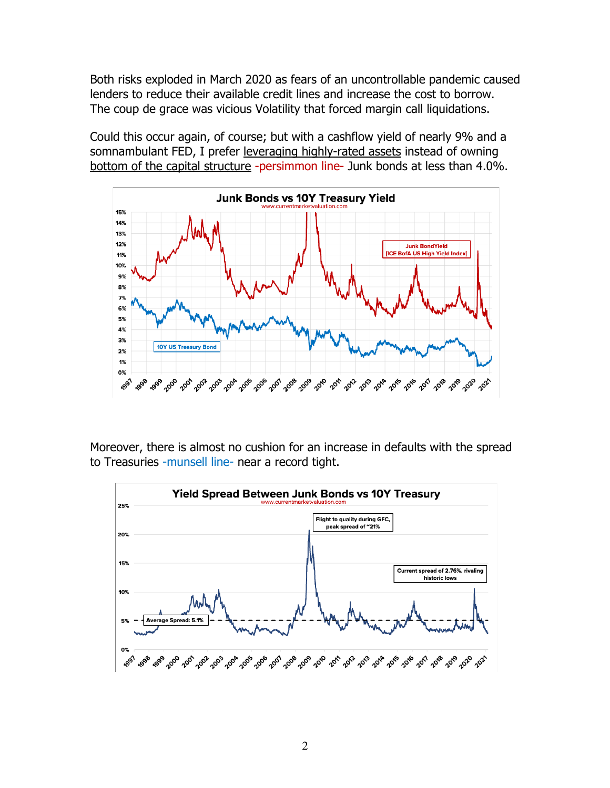Both risks exploded in March 2020 as fears of an uncontrollable pandemic caused lenders to reduce their available credit lines and increase the cost to borrow. The coup de grace was vicious Volatility that forced margin call liquidations.

Could this occur again, of course; but with a cashflow yield of nearly 9% and a somnambulant FED, I prefer leveraging highly-rated assets instead of owning bottom of the capital structure -persimmon line- Junk bonds at less than 4.0%.



Moreover, there is almost no cushion for an increase in defaults with the spread to Treasuries -munsell line- near a record tight.

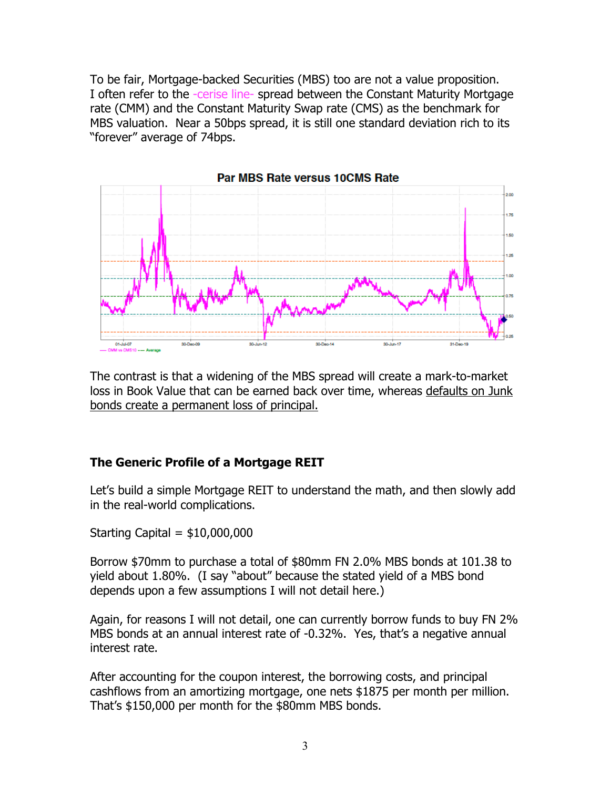To be fair, Mortgage-backed Securities (MBS) too are not a value proposition. I often refer to the -cerise line- spread between the Constant Maturity Mortgage rate (CMM) and the Constant Maturity Swap rate (CMS) as the benchmark for MBS valuation. Near a 50bps spread, it is still one standard deviation rich to its "forever" average of 74bps.



The contrast is that a widening of the MBS spread will create a mark-to-market loss in Book Value that can be earned back over time, whereas defaults on Junk bonds create a permanent loss of principal.

#### **The Generic Profile of a Mortgage REIT**

Let's build a simple Mortgage REIT to understand the math, and then slowly add in the real-world complications.

Starting Capital  $=$  \$10,000,000

Borrow \$70mm to purchase a total of \$80mm FN 2.0% MBS bonds at 101.38 to yield about 1.80%. (I say "about" because the stated yield of a MBS bond depends upon a few assumptions I will not detail here.)

Again, for reasons I will not detail, one can currently borrow funds to buy FN 2% MBS bonds at an annual interest rate of -0.32%. Yes, that's a negative annual interest rate.

After accounting for the coupon interest, the borrowing costs, and principal cashflows from an amortizing mortgage, one nets \$1875 per month per million. That's \$150,000 per month for the \$80mm MBS bonds.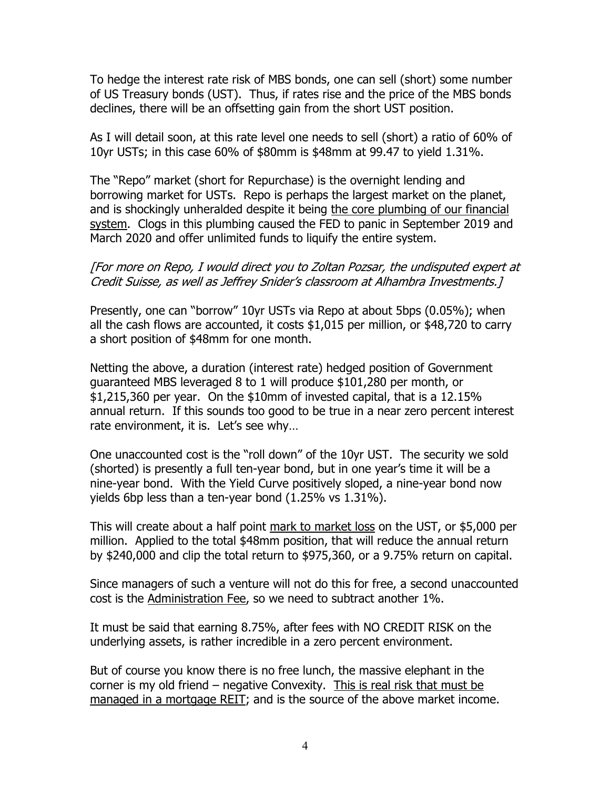To hedge the interest rate risk of MBS bonds, one can sell (short) some number of US Treasury bonds (UST). Thus, if rates rise and the price of the MBS bonds declines, there will be an offsetting gain from the short UST position.

As I will detail soon, at this rate level one needs to sell (short) a ratio of 60% of 10yr USTs; in this case 60% of \$80mm is \$48mm at 99.47 to yield 1.31%.

The "Repo" market (short for Repurchase) is the overnight lending and borrowing market for USTs. Repo is perhaps the largest market on the planet, and is shockingly unheralded despite it being the core plumbing of our financial system. Clogs in this plumbing caused the FED to panic in September 2019 and March 2020 and offer unlimited funds to liquify the entire system.

#### [For more on Repo, I would direct you to Zoltan Pozsar, the undisputed expert at Credit Suisse, as well as Jeffrey Snider's classroom at Alhambra Investments.]

Presently, one can "borrow" 10yr USTs via Repo at about 5bps (0.05%); when all the cash flows are accounted, it costs \$1,015 per million, or \$48,720 to carry a short position of \$48mm for one month.

Netting the above, a duration (interest rate) hedged position of Government guaranteed MBS leveraged 8 to 1 will produce \$101,280 per month, or \$1,215,360 per year. On the \$10mm of invested capital, that is a 12.15% annual return. If this sounds too good to be true in a near zero percent interest rate environment, it is. Let's see why...

One unaccounted cost is the "roll down" of the 10yr UST. The security we sold (shorted) is presently a full ten-year bond, but in one year's time it will be a nine-year bond. With the Yield Curve positively sloped, a nine-year bond now yields 6bp less than a ten-year bond (1.25% vs 1.31%).

This will create about a half point mark to market loss on the UST, or \$5,000 per million. Applied to the total \$48mm position, that will reduce the annual return by \$240,000 and clip the total return to \$975,360, or a 9.75% return on capital.

Since managers of such a venture will not do this for free, a second unaccounted cost is the Administration Fee, so we need to subtract another 1%.

It must be said that earning 8.75%, after fees with NO CREDIT RISK on the underlying assets, is rather incredible in a zero percent environment.

But of course you know there is no free lunch, the massive elephant in the corner is my old friend – negative Convexity. This is real risk that must be managed in a mortgage REIT; and is the source of the above market income.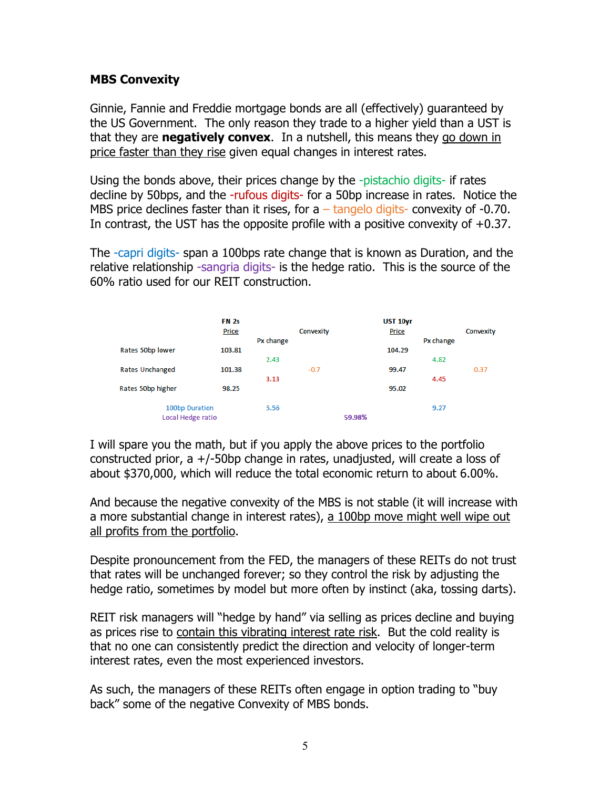### **MBS Convexity**

Ginnie, Fannie and Freddie mortgage bonds are all (effectively) guaranteed by the US Government. The only reason they trade to a higher yield than a UST is that they are **negatively convex**. In a nutshell, this means they go down in price faster than they rise given equal changes in interest rates.

Using the bonds above, their prices change by the -pistachio digits- if rates decline by 50bps, and the -rufous digits- for a 50bp increase in rates. Notice the MBS price declines faster than it rises, for a  $-$  tangelo digits- convexity of  $-0.70$ . In contrast, the UST has the opposite profile with a positive convexity of  $+0.37$ .

The -capri digits- span a 100bps rate change that is known as Duration, and the relative relationship -sangria digits- is the hedge ratio. This is the source of the 60% ratio used for our REIT construction.



I will spare you the math, but if you apply the above prices to the portfolio constructed prior, a  $+/-50$ bp change in rates, unadjusted, will create a loss of about \$370,000, which will reduce the total economic return to about 6.00%.

And because the negative convexity of the MBS is not stable (it will increase with a more substantial change in interest rates), a 100bp move might well wipe out all profits from the portfolio.

Despite pronouncement from the FED, the managers of these REITs do not trust that rates will be unchanged forever; so they control the risk by adjusting the hedge ratio, sometimes by model but more often by instinct (aka, tossing darts).

REIT risk managers will "hedge by hand" via selling as prices decline and buying as prices rise to contain this vibrating interest rate risk. But the cold reality is that no one can consistently predict the direction and velocity of longer-term interest rates, even the most experienced investors.

As such, the managers of these REITs often engage in option trading to "buy back" some of the negative Convexity of MBS bonds.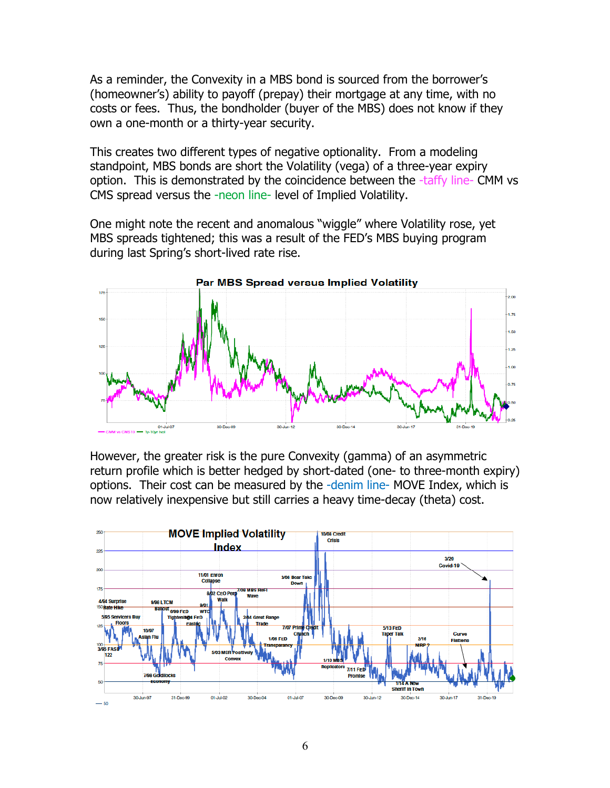As a reminder, the Convexity in a MBS bond is sourced from the borrower's (homeowner's) ability to payoff (prepay) their mortgage at any time, with no costs or fees. Thus, the bondholder (buyer of the MBS) does not know if they own a one-month or a thirty-year security.

This creates two different types of negative optionality. From a modeling standpoint, MBS bonds are short the Volatility (vega) of a three-year expiry option. This is demonstrated by the coincidence between the -taffy line- CMM vs CMS spread versus the -neon line- level of Implied Volatility.

One might note the recent and anomalous "wiggle" where Volatility rose, yet MBS spreads tightened; this was a result of the FED's MBS buying program during last Spring's short-lived rate rise.



However, the greater risk is the pure Convexity (gamma) of an asymmetric return profile which is better hedged by short-dated (one- to three-month expiry) options. Their cost can be measured by the -denim line- MOVE Index, which is now relatively inexpensive but still carries a heavy time-decay (theta) cost.

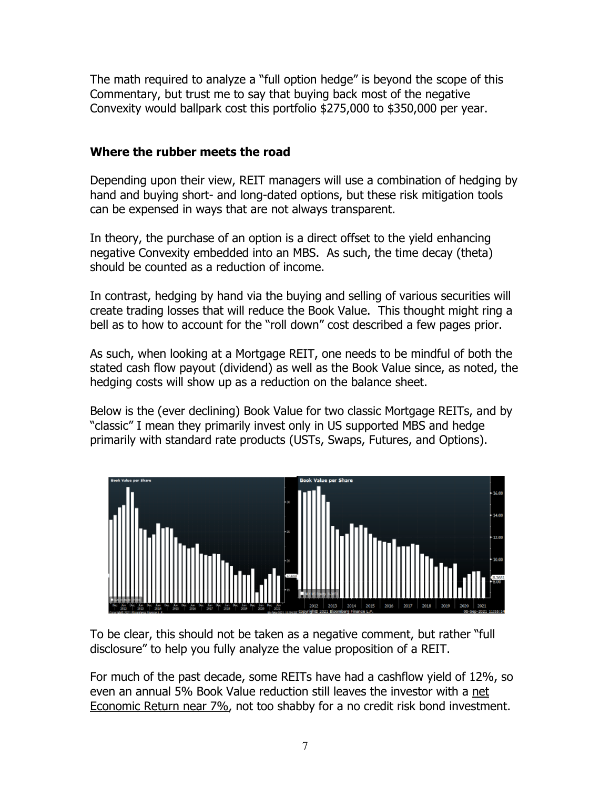The math required to analyze a "full option hedge" is beyond the scope of this Commentary, but trust me to say that buying back most of the negative Convexity would ballpark cost this portfolio \$275,000 to \$350,000 per year.

## **Where the rubber meets the road**

Depending upon their view, REIT managers will use a combination of hedging by hand and buying short- and long-dated options, but these risk mitigation tools can be expensed in ways that are not always transparent.

In theory, the purchase of an option is a direct offset to the yield enhancing negative Convexity embedded into an MBS. As such, the time decay (theta) should be counted as a reduction of income.

In contrast, hedging by hand via the buying and selling of various securities will create trading losses that will reduce the Book Value. This thought might ring a bell as to how to account for the "roll down" cost described a few pages prior.

As such, when looking at a Mortgage REIT, one needs to be mindful of both the stated cash flow payout (dividend) as well as the Book Value since, as noted, the hedging costs will show up as a reduction on the balance sheet.

Below is the (ever declining) Book Value for two classic Mortgage REITs, and by "classic" I mean they primarily invest only in US supported MBS and hedge primarily with standard rate products (USTs, Swaps, Futures, and Options).



To be clear, this should not be taken as a negative comment, but rather "full disclosure" to help you fully analyze the value proposition of a REIT.

For much of the past decade, some REITs have had a cashflow yield of 12%, so even an annual 5% Book Value reduction still leaves the investor with a net Economic Return near 7%, not too shabby for a no credit risk bond investment.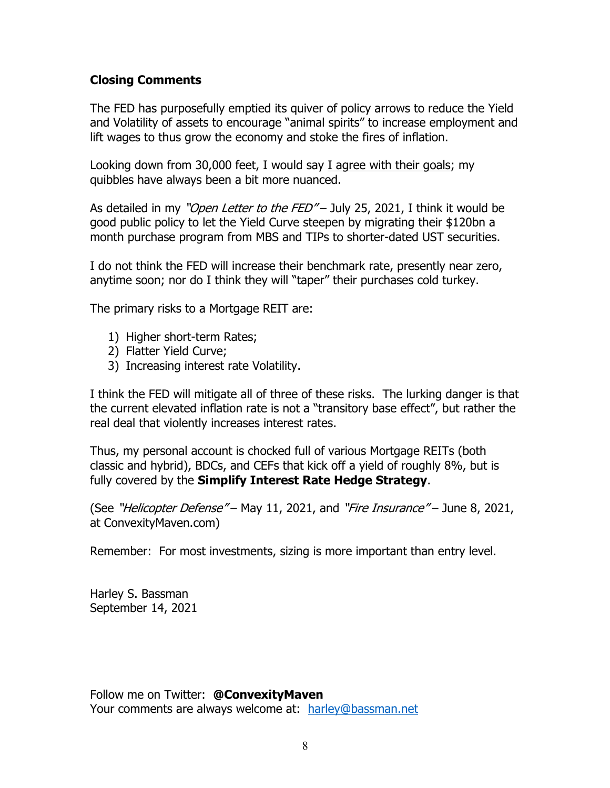### **Closing Comments**

The FED has purposefully emptied its quiver of policy arrows to reduce the Yield and Volatility of assets to encourage "animal spirits" to increase employment and lift wages to thus grow the economy and stoke the fires of inflation.

Looking down from 30,000 feet, I would say I agree with their goals; my quibbles have always been a bit more nuanced.

As detailed in my "Open Letter to the FED" – July 25, 2021, I think it would be good public policy to let the Yield Curve steepen by migrating their \$120bn a month purchase program from MBS and TIPs to shorter-dated UST securities.

I do not think the FED will increase their benchmark rate, presently near zero, anytime soon; nor do I think they will "taper" their purchases cold turkey.

The primary risks to a Mortgage REIT are:

- 1) Higher short-term Rates;
- 2) Flatter Yield Curve;
- 3) Increasing interest rate Volatility.

I think the FED will mitigate all of three of these risks. The lurking danger is that the current elevated inflation rate is not a "transitory base effect", but rather the real deal that violently increases interest rates.

Thus, my personal account is chocked full of various Mortgage REITs (both classic and hybrid), BDCs, and CEFs that kick off a yield of roughly 8%, but is fully covered by the **Simplify Interest Rate Hedge Strategy**.

(See "*Helicopter Defense"* – May 11, 2021, and "Fire Insurance" – June 8, 2021, at ConvexityMaven.com)

Remember: For most investments, sizing is more important than entry level.

Harley S. Bassman September 14, 2021

Follow me on Twitter: **@ConvexityMaven** Your comments are always welcome at: harley@bassman.net